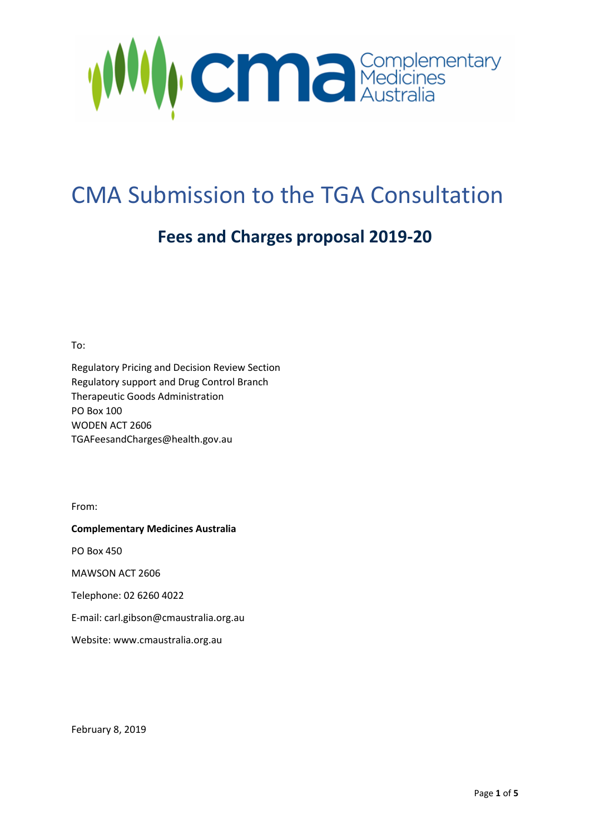

# CMA Submission to the TGA Consultation

## **Fees and Charges proposal 2019-20**

To:

Regulatory Pricing and Decision Review Section Regulatory support and Drug Control Branch Therapeutic Goods Administration PO Box 100 WODEN ACT 2606 [TGAFeesandCharges@health.gov.au](mailto:TGAFeesandCharges@health.gov.au)

From:

**Complementary Medicines Australia** 

PO Box 450

MAWSON ACT 2606

Telephone: 02 6260 4022

E-mail: carl.gibson@cmaustralia.org.au

Website: www.cmaustralia.org.au

February 8, 2019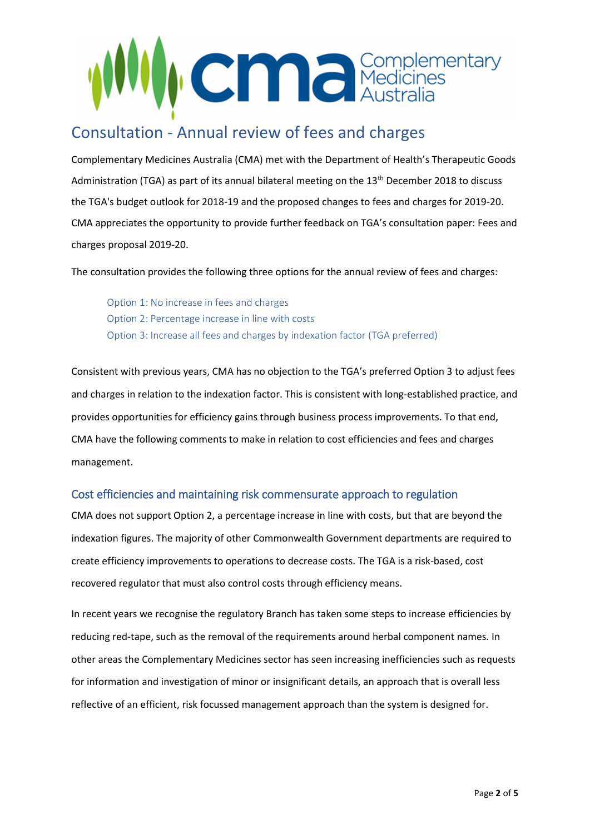

## Consultation - Annual review of fees and charges

Complementary Medicines Australia (CMA) met with the Department of Health's Therapeutic Goods Administration (TGA) as part of its annual bilateral meeting on the 13<sup>th</sup> December 2018 to discuss the TGA's budget outlook for 2018-19 and the proposed changes to fees and charges for 2019-20. CMA appreciates the opportunity to provide further feedback on TGA's consultation paper: Fees and charges proposal 2019-20.

The consultation provides the following three options for the annual review of fees and charges:

Option 1: No increase in fees and charges Option 2: Percentage increase in line with costs Option 3: Increase all fees and charges by indexation factor (TGA preferred)

Consistent with previous years, CMA has no objection to the TGA's preferred Option 3 to adjust fees and charges in relation to the indexation factor. This is consistent with long-established practice, and provides opportunities for efficiency gains through business process improvements. To that end, CMA have the following comments to make in relation to cost efficiencies and fees and charges management.

#### Cost efficiencies and maintaining risk commensurate approach to regulation

CMA does not support Option 2, a percentage increase in line with costs, but that are beyond the indexation figures. The majority of other Commonwealth Government departments are required to create efficiency improvements to operations to decrease costs. The TGA is a risk-based, cost recovered regulator that must also control costs through efficiency means.

In recent years we recognise the regulatory Branch has taken some steps to increase efficiencies by reducing red-tape, such as the removal of the requirements around herbal component names. In other areas the Complementary Medicines sector has seen increasing inefficiencies such as requests for information and investigation of minor or insignificant details, an approach that is overall less reflective of an efficient, risk focussed management approach than the system is designed for.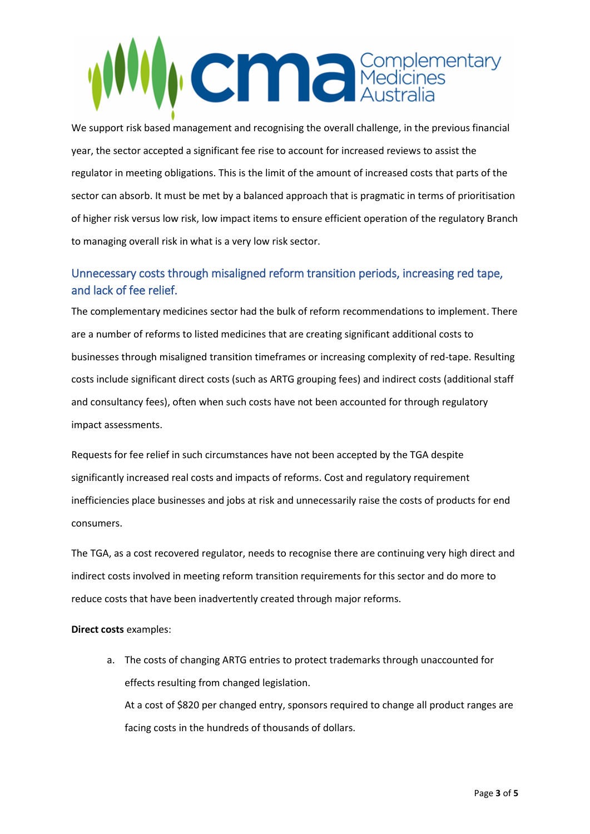

We support risk based management and recognising the overall challenge, in the previous financial year, the sector accepted a significant fee rise to account for increased reviews to assist the regulator in meeting obligations. This is the limit of the amount of increased costs that parts of the sector can absorb. It must be met by a balanced approach that is pragmatic in terms of prioritisation of higher risk versus low risk, low impact items to ensure efficient operation of the regulatory Branch to managing overall risk in what is a very low risk sector.

### Unnecessary costs through misaligned reform transition periods, increasing red tape, and lack of fee relief.

The complementary medicines sector had the bulk of reform recommendations to implement. There are a number of reforms to listed medicines that are creating significant additional costs to businesses through misaligned transition timeframes or increasing complexity of red-tape. Resulting costs include significant direct costs (such as ARTG grouping fees) and indirect costs (additional staff and consultancy fees), often when such costs have not been accounted for through regulatory impact assessments.

Requests for fee relief in such circumstances have not been accepted by the TGA despite significantly increased real costs and impacts of reforms. Cost and regulatory requirement inefficiencies place businesses and jobs at risk and unnecessarily raise the costs of products for end consumers.

The TGA, as a cost recovered regulator, needs to recognise there are continuing very high direct and indirect costs involved in meeting reform transition requirements for this sector and do more to reduce costs that have been inadvertently created through major reforms.

#### **Direct costs** examples:

a. The costs of changing ARTG entries to protect trademarks through unaccounted for effects resulting from changed legislation. At a cost of \$820 per changed entry, sponsors required to change all product ranges are facing costs in the hundreds of thousands of dollars.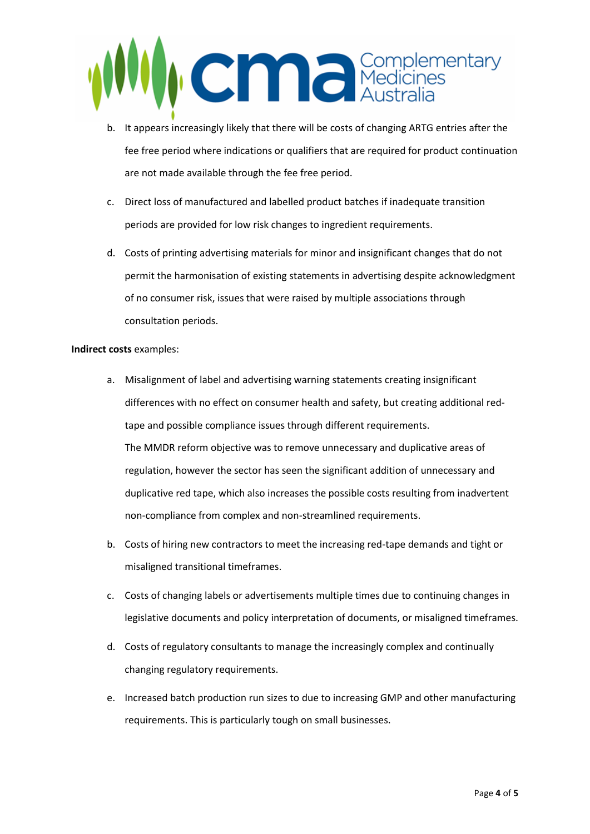

- b. It appears increasingly likely that there will be costs of changing ARTG entries after the fee free period where indications or qualifiers that are required for product continuation are not made available through the fee free period.
- c. Direct loss of manufactured and labelled product batches if inadequate transition periods are provided for low risk changes to ingredient requirements.
- d. Costs of printing advertising materials for minor and insignificant changes that do not permit the harmonisation of existing statements in advertising despite acknowledgment of no consumer risk, issues that were raised by multiple associations through consultation periods.

#### **Indirect costs** examples:

- a. Misalignment of label and advertising warning statements creating insignificant differences with no effect on consumer health and safety, but creating additional redtape and possible compliance issues through different requirements. The MMDR reform objective was to remove unnecessary and duplicative areas of regulation, however the sector has seen the significant addition of unnecessary and duplicative red tape, which also increases the possible costs resulting from inadvertent non-compliance from complex and non-streamlined requirements.
- b. Costs of hiring new contractors to meet the increasing red-tape demands and tight or misaligned transitional timeframes.
- c. Costs of changing labels or advertisements multiple times due to continuing changes in legislative documents and policy interpretation of documents, or misaligned timeframes.
- d. Costs of regulatory consultants to manage the increasingly complex and continually changing regulatory requirements.
- e. Increased batch production run sizes to due to increasing GMP and other manufacturing requirements. This is particularly tough on small businesses.